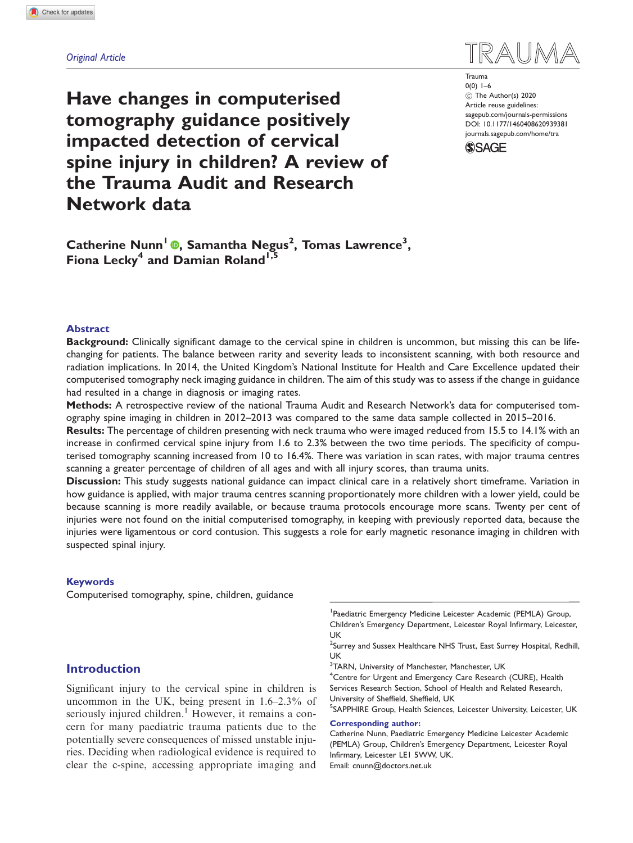## Original Article

TRAII

Trauma  $0(0)$  1–6 C The Author(s) 2020 Article reuse guidelines: [sagepub.com/journals-permissions](https://uk.sagepub.com/en-gb/journals-permissions) DOI: [10.1177/1460408620939381](https://doi.org/10.1177/1460408620939381) <journals.sagepub.com/home/tra>



Have changes in computerised tomography guidance positively impacted detection of cervical spine injury in children? A review of the Trauma Audit and Research Network data

Catherine Nunn<sup>1</sup> ®[,](https://orcid.org/0000-0001-5995-0957) Samantha Negus<sup>2</sup>, Tomas Lawrence<sup>3</sup>, Fiona Lecky<sup>4</sup> and Damian Roland<sup>1,5</sup>

### Abstract

Background: Clinically significant damage to the cervical spine in children is uncommon, but missing this can be lifechanging for patients. The balance between rarity and severity leads to inconsistent scanning, with both resource and radiation implications. In 2014, the United Kingdom's National Institute for Health and Care Excellence updated their computerised tomography neck imaging guidance in children. The aim of this study was to assess if the change in guidance had resulted in a change in diagnosis or imaging rates.

Methods: A retrospective review of the national Trauma Audit and Research Network's data for computerised tomography spine imaging in children in 2012–2013 was compared to the same data sample collected in 2015–2016.

Results: The percentage of children presenting with neck trauma who were imaged reduced from 15.5 to 14.1% with an increase in confirmed cervical spine injury from 1.6 to 2.3% between the two time periods. The specificity of computerised tomography scanning increased from 10 to 16.4%. There was variation in scan rates, with major trauma centres scanning a greater percentage of children of all ages and with all injury scores, than trauma units.

Discussion: This study suggests national guidance can impact clinical care in a relatively short timeframe. Variation in how guidance is applied, with major trauma centres scanning proportionately more children with a lower yield, could be because scanning is more readily available, or because trauma protocols encourage more scans. Twenty per cent of injuries were not found on the initial computerised tomography, in keeping with previously reported data, because the injuries were ligamentous or cord contusion. This suggests a role for early magnetic resonance imaging in children with suspected spinal injury.

### Keywords

Computerised tomography, spine, children, guidance

# Introduction

Significant injury to the cervical spine in children is uncommon in the UK, being present in 1.6–2.3% of seriously injured children.<sup>1</sup> However, it remains a concern for many paediatric trauma patients due to the potentially severe consequences of missed unstable injuries. Deciding when radiological evidence is required to clear the c-spine, accessing appropriate imaging and

1 Paediatric Emergency Medicine Leicester Academic (PEMLA) Group, Children's Emergency Department, Leicester Royal Infirmary, Leicester, UK

 $^2$ Surrey and Sussex Healthcare NHS Trust, East Surrey Hospital, Redhill, UK

<sup>3</sup>TARN, University of Manchester, Manchester, UK

<sup>4</sup> Centre for Urgent and Emergency Care Research (CURE), Health Services Research Section, School of Health and Related Research, University of Sheffield, Sheffield, UK

<sup>5</sup>SAPPHIRE Group, Health Sciences, Leicester University, Leicester, UK

#### Corresponding author:

Catherine Nunn, Paediatric Emergency Medicine Leicester Academic (PEMLA) Group, Children's Emergency Department, Leicester Royal Infirmary, Leicester LE1 5WW, UK. Email: cnunn@doctors.net.uk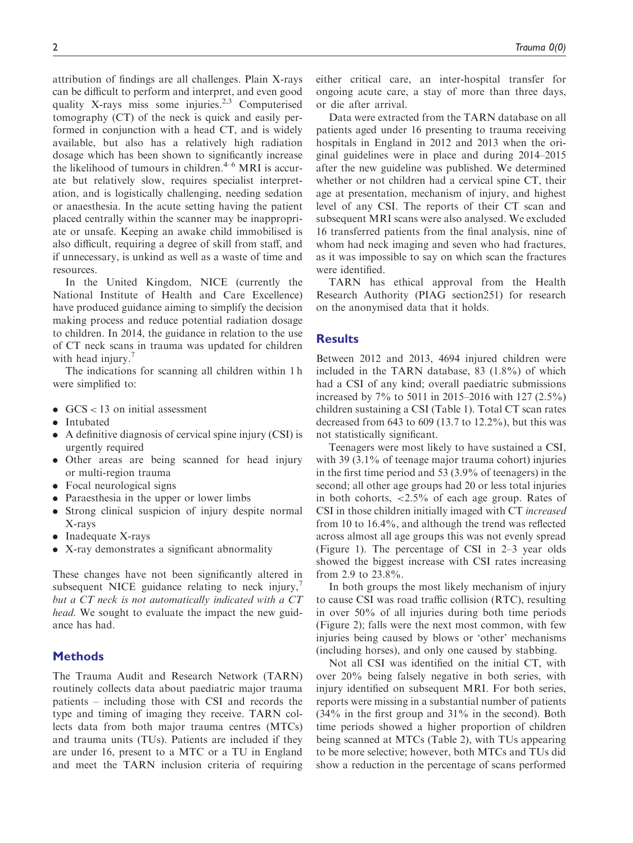attribution of findings are all challenges. Plain X-rays can be difficult to perform and interpret, and even good quality X-rays miss some injuries. $2,3$  Computerised tomography (CT) of the neck is quick and easily performed in conjunction with a head CT, and is widely available, but also has a relatively high radiation dosage which has been shown to significantly increase the likelihood of tumours in children. $4-6$  MRI is accurate but relatively slow, requires specialist interpretation, and is logistically challenging, needing sedation or anaesthesia. In the acute setting having the patient placed centrally within the scanner may be inappropriate or unsafe. Keeping an awake child immobilised is also difficult, requiring a degree of skill from staff, and if unnecessary, is unkind as well as a waste of time and resources.

In the United Kingdom, NICE (currently the National Institute of Health and Care Excellence) have produced guidance aiming to simplify the decision making process and reduce potential radiation dosage to children. In 2014, the guidance in relation to the use of CT neck scans in trauma was updated for children with head injury.<sup>7</sup>

The indications for scanning all children within 1 h were simplified to:

- $GCS < 13$  on initial assessment
- Intubated
- . A definitive diagnosis of cervical spine injury (CSI) is urgently required
- . Other areas are being scanned for head injury or multi-region trauma
- Focal neurological signs
- . Paraesthesia in the upper or lower limbs
- . Strong clinical suspicion of injury despite normal X-rays
- Inadequate X-rays
- . X-ray demonstrates a significant abnormality

These changes have not been significantly altered in subsequent NICE guidance relating to neck injury, $\frac{7}{2}$ but a CT neck is not automatically indicated with a CT head. We sought to evaluate the impact the new guidance has had.

## **Methods**

The Trauma Audit and Research Network (TARN) routinely collects data about paediatric major trauma patients – including those with CSI and records the type and timing of imaging they receive. TARN collects data from both major trauma centres (MTCs) and trauma units (TUs). Patients are included if they are under 16, present to a MTC or a TU in England and meet the TARN inclusion criteria of requiring either critical care, an inter-hospital transfer for ongoing acute care, a stay of more than three days, or die after arrival.

Data were extracted from the TARN database on all patients aged under 16 presenting to trauma receiving hospitals in England in 2012 and 2013 when the original guidelines were in place and during 2014–2015 after the new guideline was published. We determined whether or not children had a cervical spine CT, their age at presentation, mechanism of injury, and highest level of any CSI. The reports of their CT scan and subsequent MRI scans were also analysed. We excluded 16 transferred patients from the final analysis, nine of whom had neck imaging and seven who had fractures, as it was impossible to say on which scan the fractures were identified.

TARN has ethical approval from the Health Research Authority (PIAG section251) for research on the anonymised data that it holds.

## **Results**

Between 2012 and 2013, 4694 injured children were included in the TARN database, 83 (1.8%) of which had a CSI of any kind; overall paediatric submissions increased by 7% to 5011 in 2015–2016 with 127 (2.5%) children sustaining a CSI (Table 1). Total CT scan rates decreased from 643 to 609 (13.7 to 12.2%), but this was not statistically significant.

Teenagers were most likely to have sustained a CSI, with 39 (3.1% of teenage major trauma cohort) injuries in the first time period and 53 (3.9% of teenagers) in the second; all other age groups had 20 or less total injuries in both cohorts,  $\langle 2.5\% \rangle$  of each age group. Rates of CSI in those children initially imaged with CT increased from 10 to 16.4%, and although the trend was reflected across almost all age groups this was not evenly spread (Figure 1). The percentage of CSI in 2–3 year olds showed the biggest increase with CSI rates increasing from 2.9 to 23.8%.

In both groups the most likely mechanism of injury to cause CSI was road traffic collision (RTC), resulting in over 50% of all injuries during both time periods (Figure 2); falls were the next most common, with few injuries being caused by blows or 'other' mechanisms (including horses), and only one caused by stabbing.

Not all CSI was identified on the initial CT, with over 20% being falsely negative in both series, with injury identified on subsequent MRI. For both series, reports were missing in a substantial number of patients (34% in the first group and 31% in the second). Both time periods showed a higher proportion of children being scanned at MTCs (Table 2), with TUs appearing to be more selective; however, both MTCs and TUs did show a reduction in the percentage of scans performed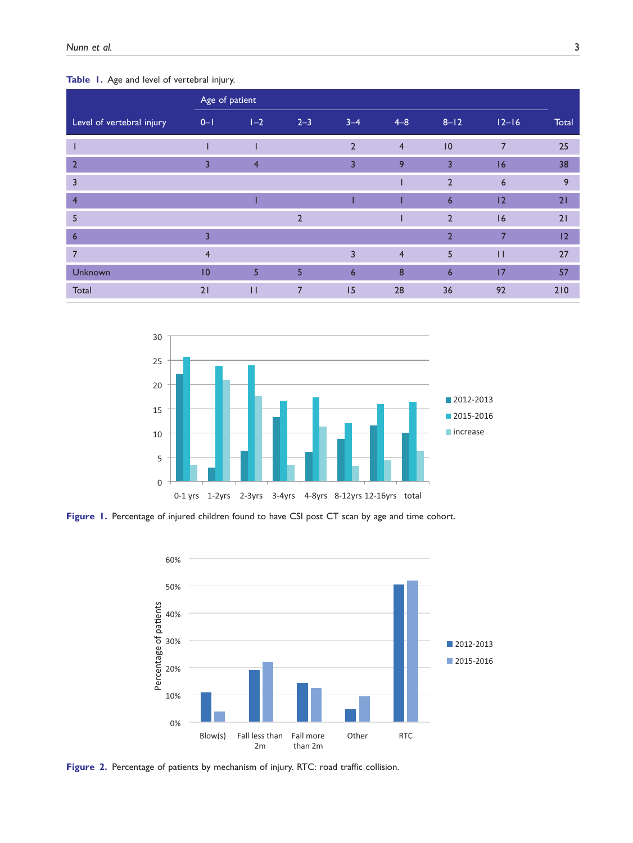## Table 1. Age and level of vertebral injury.

|                           | Age of patient |                |                |                 |                |                |                |       |
|---------------------------|----------------|----------------|----------------|-----------------|----------------|----------------|----------------|-------|
| Level of vertebral injury | $0-1$          | $1-2$          | $2 - 3$        | $3 - 4$         | $4 - 8$        | $8 - 12$       | $12 - 16$      | Total |
|                           |                |                |                | $\overline{2}$  | $\overline{4}$ | 0              | $\overline{7}$ | 25    |
| $\overline{2}$            | 3              | $\overline{4}$ |                | $\overline{3}$  | 9              | $\overline{3}$ | 16             | 38    |
| 3                         |                |                |                |                 |                | $\overline{2}$ | 6              | 9     |
| $\overline{4}$            |                |                |                |                 |                | 6              | 12             | 21    |
| 5                         |                |                | $\overline{2}$ |                 |                | $\overline{2}$ | 16             | 21    |
| $6\overline{6}$           | $\overline{3}$ |                |                |                 |                | $\overline{2}$ | $\overline{7}$ | 12    |
| 7                         | $\overline{4}$ |                |                | $\overline{3}$  | $\overline{4}$ | 5              | $\mathbf{H}$   | 27    |
| Unknown                   | 10             | 5              | 5              | $6\overline{6}$ | 8              | 6              | 17             | 57    |
| Total                     | 21             | $\mathbf{H}$   | 7              | 15              | 28             | 36             | 92             | 210   |



Figure 1. Percentage of injured children found to have CSI post CT scan by age and time cohort.



Figure 2. Percentage of patients by mechanism of injury. RTC: road traffic collision.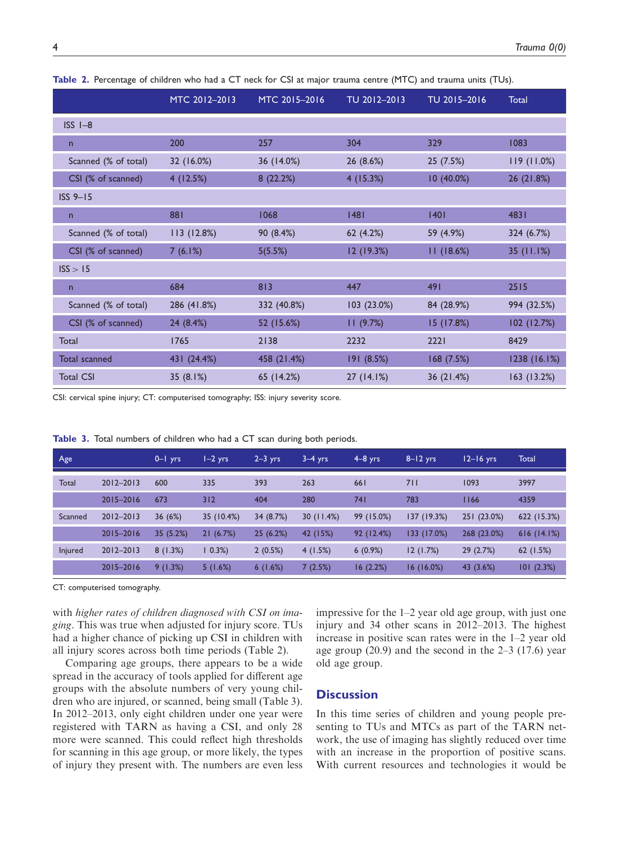|                      | MTC 2012-2013 | MTC 2015-2016 | TU 2012-2013 | TU 2015-2016 | <b>Total</b>  |
|----------------------|---------------|---------------|--------------|--------------|---------------|
| $ISSI-8$             |               |               |              |              |               |
| $\mathsf{n}$         | 200           | 257           | 304          | 329          | 1083          |
| Scanned (% of total) | 32 (16.0%)    | 36 (14.0%)    | 26 (8.6%)    | 25 (7.5%)    | 119(11.0%)    |
| CSI (% of scanned)   | 4(12.5%)      | 8(22.2%)      | 4(15.3%)     | 10 (40.0%)   | 26 (21.8%)    |
| $ISS 9-15$           |               |               |              |              |               |
| $\mathsf{n}$         | 881           | 1068          | 1481         | 1401         | 4831          |
| Scanned (% of total) | 113 (12.8%)   | 90 (8.4%)     | 62 (4.2%)    | 59 (4.9%)    | 324 (6.7%)    |
| CSI (% of scanned)   | 7(6.1%)       | 5(5.5%)       | 12 (19.3%)   | 11(18.6%)    | 35(11.1%)     |
| ISS > 15             |               |               |              |              |               |
| $\mathsf{n}$         | 684           | 813           | 447          | 491          | 2515          |
| Scanned (% of total) | 286 (41.8%)   | 332 (40.8%)   | 103 (23.0%)  | 84 (28.9%)   | 994 (32.5%)   |
| CSI (% of scanned)   | 24 (8.4%)     | 52 (15.6%)    | 11(9.7%)     | 15 (17.8%)   | 102 (12.7%)   |
| Total                | 1765          | 2138          | 2232         | 2221         | 8429          |
| <b>Total scanned</b> | 431 (24.4%)   | 458 (21.4%)   | 191 (8.5%)   | 168(7.5%)    | 1238 (16.1%)  |
| <b>Total CSI</b>     | 35 $(8.1%)$   | 65 (14.2%)    | 27 (14.1%)   | 36 (21.4%)   | $163$ (13.2%) |

Table 2. Percentage of children who had a CT neck for CSI at major trauma centre (MTC) and trauma units (TUs).

CSI: cervical spine injury; CT: computerised tomography; ISS: injury severity score.

Table 3. Total numbers of children who had a CT scan during both periods.

| Age     |               | $0 - 1$ yrs | $I - 2$ yrs | $2-3$ yrs | $3-4$ yrs | $4-8$ yrs  | $8 - 12$ yrs | $12 - 16$ yrs | <b>Total</b> |
|---------|---------------|-------------|-------------|-----------|-----------|------------|--------------|---------------|--------------|
| Total   | $2012 - 2013$ | 600         | 335         | 393       | 263       | 661        | 711          | 1093          | 3997         |
|         | 2015-2016     | 673         | 312         | 404       | 280       | 74 I       | 783          | 1166          | 4359         |
| Scanned | $2012 - 2013$ | 36(6%)      | 35 (10.4%)  | 34 (8.7%) | 30(11.4%) | 99 (15.0%) | 137 (19.3%)  | 251 (23.0%)   | 622 (15.3%)  |
|         | 2015-2016     | 35(5.2%)    | 21(6.7%)    | 25(6.2%)  | 42 (15%)  | 92(12.4%)  | 133 (17.0%)  | 268 (23.0%)   | 616(14.1%)   |
| Injured | $2012 - 2013$ | 8(1.3%)     | $0.3\%)$    | 2(0.5%)   | 4(1.5%)   | $6(0.9\%)$ | 12(1.7%)     | 29 (2.7%)     | 62 $(1.5%)$  |
|         | 2015-2016     | 9(1.3%)     | 5(1.6%)     | 6(1.6%)   | 7(2.5%)   | 16(2.2%)   | 16(16.0%)    | 43 (3.6%)     | 101(2.3%)    |

CT: computerised tomography.

with higher rates of children diagnosed with CSI on imaging. This was true when adjusted for injury score. TUs had a higher chance of picking up CSI in children with all injury scores across both time periods (Table 2).

Comparing age groups, there appears to be a wide spread in the accuracy of tools applied for different age groups with the absolute numbers of very young children who are injured, or scanned, being small (Table 3). In 2012–2013, only eight children under one year were registered with TARN as having a CSI, and only 28 more were scanned. This could reflect high thresholds for scanning in this age group, or more likely, the types of injury they present with. The numbers are even less impressive for the 1–2 year old age group, with just one injury and 34 other scans in 2012–2013. The highest increase in positive scan rates were in the 1–2 year old age group (20.9) and the second in the 2–3 (17.6) year old age group.

## **Discussion**

In this time series of children and young people presenting to TUs and MTCs as part of the TARN network, the use of imaging has slightly reduced over time with an increase in the proportion of positive scans. With current resources and technologies it would be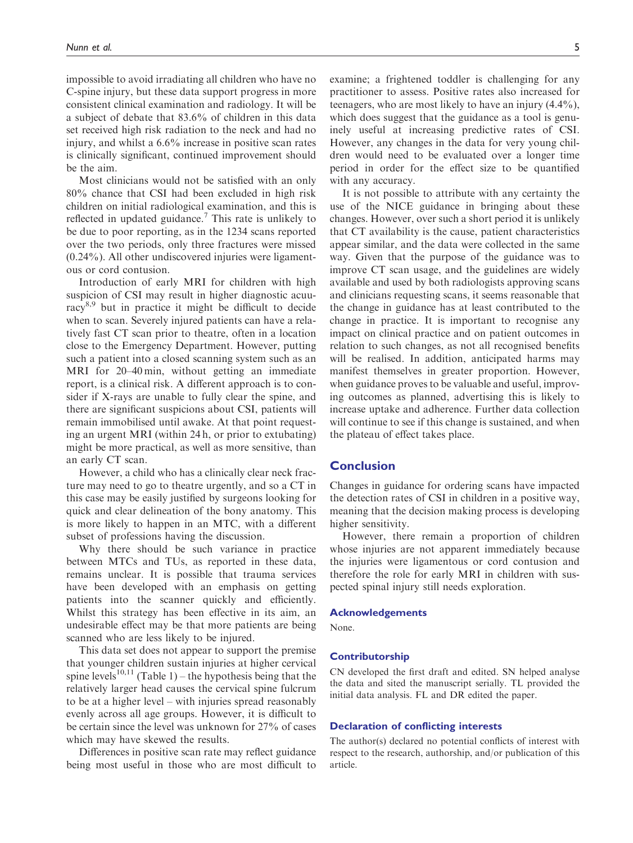impossible to avoid irradiating all children who have no C-spine injury, but these data support progress in more consistent clinical examination and radiology. It will be a subject of debate that 83.6% of children in this data set received high risk radiation to the neck and had no injury, and whilst a 6.6% increase in positive scan rates is clinically significant, continued improvement should be the aim.

Most clinicians would not be satisfied with an only 80% chance that CSI had been excluded in high risk children on initial radiological examination, and this is reflected in updated guidance.<sup>7</sup> This rate is unlikely to be due to poor reporting, as in the 1234 scans reported over the two periods, only three fractures were missed (0.24%). All other undiscovered injuries were ligamentous or cord contusion.

Introduction of early MRI for children with high suspicion of CSI may result in higher diagnostic acuuracy8,9 but in practice it might be difficult to decide when to scan. Severely injured patients can have a relatively fast CT scan prior to theatre, often in a location close to the Emergency Department. However, putting such a patient into a closed scanning system such as an MRI for 20–40 min, without getting an immediate report, is a clinical risk. A different approach is to consider if X-rays are unable to fully clear the spine, and there are significant suspicions about CSI, patients will remain immobilised until awake. At that point requesting an urgent MRI (within 24 h, or prior to extubating) might be more practical, as well as more sensitive, than an early CT scan.

However, a child who has a clinically clear neck fracture may need to go to theatre urgently, and so a CT in this case may be easily justified by surgeons looking for quick and clear delineation of the bony anatomy. This is more likely to happen in an MTC, with a different subset of professions having the discussion.

Why there should be such variance in practice between MTCs and TUs, as reported in these data, remains unclear. It is possible that trauma services have been developed with an emphasis on getting patients into the scanner quickly and efficiently. Whilst this strategy has been effective in its aim, an undesirable effect may be that more patients are being scanned who are less likely to be injured.

This data set does not appear to support the premise that younger children sustain injuries at higher cervical spine levels<sup>10,11</sup> (Table 1) – the hypothesis being that the relatively larger head causes the cervical spine fulcrum to be at a higher level – with injuries spread reasonably evenly across all age groups. However, it is difficult to be certain since the level was unknown for 27% of cases which may have skewed the results.

Differences in positive scan rate may reflect guidance being most useful in those who are most difficult to examine; a frightened toddler is challenging for any practitioner to assess. Positive rates also increased for teenagers, who are most likely to have an injury (4.4%), which does suggest that the guidance as a tool is genuinely useful at increasing predictive rates of CSI. However, any changes in the data for very young children would need to be evaluated over a longer time period in order for the effect size to be quantified with any accuracy.

It is not possible to attribute with any certainty the use of the NICE guidance in bringing about these changes. However, over such a short period it is unlikely that CT availability is the cause, patient characteristics appear similar, and the data were collected in the same way. Given that the purpose of the guidance was to improve CT scan usage, and the guidelines are widely available and used by both radiologists approving scans and clinicians requesting scans, it seems reasonable that the change in guidance has at least contributed to the change in practice. It is important to recognise any impact on clinical practice and on patient outcomes in relation to such changes, as not all recognised benefits will be realised. In addition, anticipated harms may manifest themselves in greater proportion. However, when guidance proves to be valuable and useful, improving outcomes as planned, advertising this is likely to increase uptake and adherence. Further data collection will continue to see if this change is sustained, and when the plateau of effect takes place.

## **Conclusion**

Changes in guidance for ordering scans have impacted the detection rates of CSI in children in a positive way, meaning that the decision making process is developing higher sensitivity.

However, there remain a proportion of children whose injuries are not apparent immediately because the injuries were ligamentous or cord contusion and therefore the role for early MRI in children with suspected spinal injury still needs exploration.

#### Acknowledgements

None.

#### Contributorship

CN developed the first draft and edited. SN helped analyse the data and sited the manuscript serially. TL provided the initial data analysis. FL and DR edited the paper.

#### Declaration of conflicting interests

The author(s) declared no potential conflicts of interest with respect to the research, authorship, and/or publication of this article.